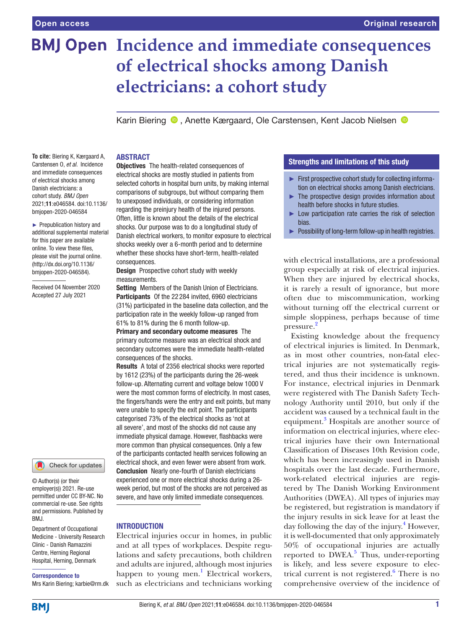# **BMJ Open Incidence and immediate consequences of electrical shocks among Danish electricians: a cohort study**

Karin Biering <sup>®</sup>, Anette Kærgaard, Ole Carstensen, Kent Jacob Nielsen <sup>®</sup>

# ABSTRACT

**To cite:** Biering K, Kærgaard A, Carstensen O, *et al*. Incidence and immediate consequences of electrical shocks among Danish electricians: a cohort study. *BMJ Open* 2021;11:e046584. doi:10.1136/ bmjopen-2020-046584

► Prepublication history and additional supplemental material for this paper are available online. To view these files, please visit the journal online. (http://dx.doi.org/10.1136/ bmjopen-2020-046584).

Received 04 November 2020 Accepted 27 July 2021

### Check for updates

© Author(s) (or their employer(s)) 2021. Re-use permitted under CC BY-NC. No commercial re-use. See rights and permissions. Published by RM<sub>J</sub>

Department of Occupational Medicine - University Research Clinic - Danish Ramazzini Centre, Herning Regional Hospital, Herning, Denmark

### Correspondence to

Mrs Karin Biering; karbie@rm.dk

Objectives The health-related consequences of electrical shocks are mostly studied in patients from selected cohorts in hospital burn units, by making internal comparisons of subgroups, but without comparing them to unexposed individuals, or considering information regarding the preinjury health of the injured persons. Often, little is known about the details of the electrical shocks. Our purpose was to do a longitudinal study of Danish electrical workers, to monitor exposure to electrical shocks weekly over a 6-month period and to determine whether these shocks have short-term, health-related consequences.

Design Prospective cohort study with weekly measurements.

Setting Members of the Danish Union of Electricians. Participants Of the 22 284 invited, 6960 electricians (31%) participated in the baseline data collection, and the participation rate in the weekly follow-up ranged from 61% to 81% during the 6 month follow-up.

Primary and secondary outcome measures The primary outcome measure was an electrical shock and secondary outcomes were the immediate health-related consequences of the shocks.

Results A total of 2356 electrical shocks were reported by 1612 (23%) of the participants during the 26-week follow-up. Alternating current and voltage below 1000 V were the most common forms of electricity. In most cases, the fingers/hands were the entry and exit points, but many were unable to specify the exit point. The participants categorised 73% of the electrical shocks as 'not at all severe', and most of the shocks did not cause any immediate physical damage. However, flashbacks were more common than physical consequences. Only a few of the participants contacted health services following an electrical shock, and even fewer were absent from work. Conclusion Nearly one-fourth of Danish electricians experienced one or more electrical shocks during a 26 week period, but most of the shocks are not perceived as severe, and have only limited immediate consequences.

# INTRODUCTION

Electrical injuries occur in homes, in public and at all types of workplaces. Despite regulations and safety precautions, both children and adults are injured, although most injuries happen to young men.<sup>[1](#page-6-0)</sup> Electrical workers, such as electricians and technicians working

### Strengths and limitations of this study

- ► First prospective cohort study for collecting information on electrical shocks among Danish electricians.
- $\blacktriangleright$  The prospective design provides information about health before shocks in future studies.
- Low participation rate carries the risk of selection bias.
- ► Possibility of long-term follow-up in health registries.

with electrical installations, are a professional group especially at risk of electrical injuries. When they are injured by electrical shocks, it is rarely a result of ignorance, but more often due to miscommunication, working without turning off the electrical current or simple sloppiness, perhaps because of time pressure.<sup>[2](#page-6-1)</sup>

Existing knowledge about the frequency of electrical injuries is limited. In Denmark, as in most other countries, non-fatal electrical injuries are not systematically registered, and thus their incidence is unknown. For instance, electrical injuries in Denmark were registered with The Danish Safety Technology Authority until 2010, but only if the accident was caused by a technical fault in the equipment.<sup>[3](#page-6-2)</sup> Hospitals are another source of information on electrical injuries, where electrical injuries have their own International Classification of Diseases 10th Revision code, which has been increasingly used in Danish hospitals over the last decade. Furthermore, work-related electrical injuries are registered by The Danish Working Environment Authorities (DWEA). All types of injuries may be registered, but registration is mandatory if the injury results in sick leave for at least the day following the day of the injury.<sup>[4](#page-6-3)</sup> However, it is well-documented that only approximately 50% of occupational injuries are actually reported to  $\overline{DWEA}$ .<sup>[5](#page-6-4)</sup> Thus, under-reporting is likely, and less severe exposure to elec-trical current is not registered.<sup>[6](#page-6-5)</sup> There is no comprehensive overview of the incidence of

**BMI**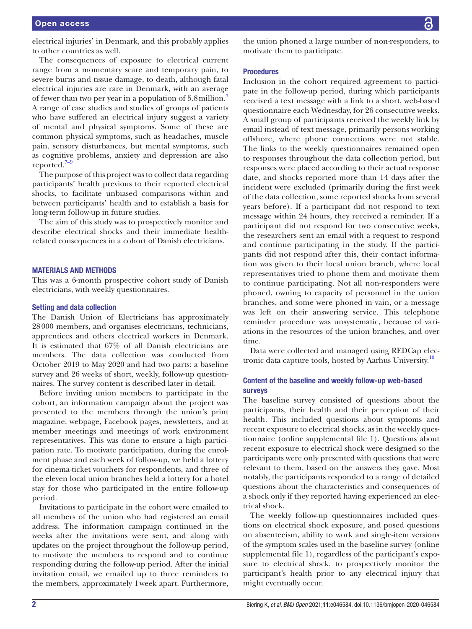electrical injuries' in Denmark, and this probably applies to other countries as well.

The consequences of exposure to electrical current range from a momentary scare and temporary pain, to severe burns and tissue damage, to death, although fatal electrical injuries are rare in Denmark, with an average of fewer than two per year in a population of 5.8 million.<sup>[3](#page-6-2)</sup> A range of case studies and studies of groups of patients who have suffered an electrical injury suggest a variety of mental and physical symptoms. Some of these are common physical symptoms, such as headaches, muscle pain, sensory disturbances, but mental symptoms, such as cognitive problems, anxiety and depression are also reported. $7-9$ 

The purpose of this project was to collect data regarding participants' health previous to their reported electrical shocks, to facilitate unbiased comparisons within and between participants' health and to establish a basis for long-term follow-up in future studies.

The aim of this study was to prospectively monitor and describe electrical shocks and their immediate healthrelated consequences in a cohort of Danish electricians.

### MATERIALS AND METHODS

This was a 6-month prospective cohort study of Danish electricians, with weekly questionnaires.

### Setting and data collection

The Danish Union of Electricians has approximately 28000 members, and organises electricians, technicians, apprentices and others electrical workers in Denmark. It is estimated that 67% of all Danish electricians are members. The data collection was conducted from October 2019 to May 2020 and had two parts: a baseline survey and 26 weeks of short, weekly, follow-up questionnaires. The survey content is described later in detail.

Before inviting union members to participate in the cohort, an information campaign about the project was presented to the members through the union's print magazine, webpage, Facebook pages, newsletters, and at member meetings and meetings of work environment representatives. This was done to ensure a high participation rate. To motivate participation, during the enrolment phase and each week of follow-up, we held a lottery for cinema-ticket vouchers for respondents, and three of the eleven local union branches held a lottery for a hotel stay for those who participated in the entire follow-up period.

Invitations to participate in the cohort were emailed to all members of the union who had registered an email address. The information campaign continued in the weeks after the invitations were sent, and along with updates on the project throughout the follow-up period, to motivate the members to respond and to continue responding during the follow-up period. After the initial invitation email, we emailed up to three reminders to the members, approximately 1week apart. Furthermore,

the union phoned a large number of non-responders, to motivate them to participate.

### Procedures

Inclusion in the cohort required agreement to participate in the follow-up period, during which participants received a text message with a link to a short, web-based questionnaire each Wednesday, for 26 consecutive weeks. A small group of participants received the weekly link by email instead of text message, primarily persons working offshore, where phone connections were not stable. The links to the weekly questionnaires remained open to responses throughout the data collection period, but responses were placed according to their actual response date, and shocks reported more than 14 days after the incident were excluded (primarily during the first week of the data collection, some reported shocks from several years before). If a participant did not respond to text message within 24 hours, they received a reminder. If a participant did not respond for two consecutive weeks, the researchers sent an email with a request to respond and continue participating in the study. If the participants did not respond after this, their contact information was given to their local union branch, where local representatives tried to phone them and motivate them to continue participating. Not all non-responders were phoned, owning to capacity of personnel in the union branches, and some were phoned in vain, or a message was left on their answering service. This telephone reminder procedure was unsystematic, because of variations in the resources of the union branches, and over time.

Data were collected and managed using REDCap elec-tronic data capture tools, hosted by Aarhus University.<sup>[10](#page-6-7)</sup>

### Content of the baseline and weekly follow-up web-based surveys

The baseline survey consisted of questions about the participants, their health and their perception of their health. This included questions about symptoms and recent exposure to electrical shocks, as in the weekly questionnaire [\(online supplemental file 1](https://dx.doi.org/10.1136/bmjopen-2020-046584)). Questions about recent exposure to electrical shock were designed so the participants were only presented with questions that were relevant to them, based on the answers they gave. Most notably, the participants responded to a range of detailed questions about the characteristics and consequences of a shock only if they reported having experienced an electrical shock.

The weekly follow-up questionnaires included questions on electrical shock exposure, and posed questions on absenteeism, ability to work and single-item versions of the symptom scales used in the baseline survey ([online](https://dx.doi.org/10.1136/bmjopen-2020-046584)  [supplemental file 1](https://dx.doi.org/10.1136/bmjopen-2020-046584)), regardless of the participant's exposure to electrical shock, to prospectively monitor the participant's health prior to any electrical injury that might eventually occur.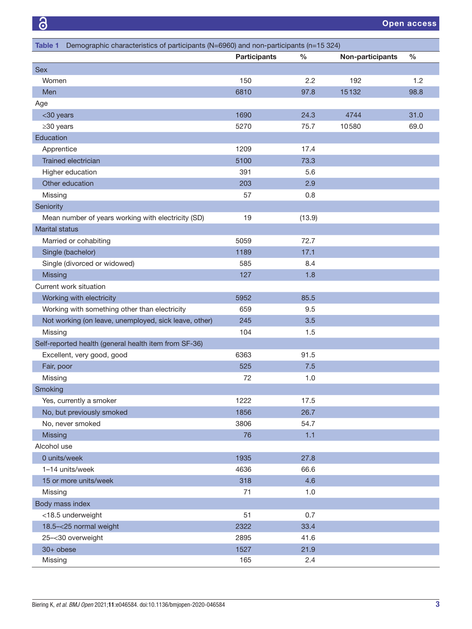<span id="page-2-0"></span>

| Demographic characteristics of participants (N=6960) and non-participants (n=15 324)<br>Table 1 |                     |               |                  |               |
|-------------------------------------------------------------------------------------------------|---------------------|---------------|------------------|---------------|
|                                                                                                 | <b>Participants</b> | $\frac{0}{0}$ | Non-participants | $\frac{0}{0}$ |
| <b>Sex</b>                                                                                      |                     |               |                  |               |
| Women                                                                                           | 150                 | 2.2           | 192              | 1.2           |
| Men                                                                                             | 6810                | 97.8          | 15132            | 98.8          |
| Age                                                                                             |                     |               |                  |               |
| <30 years                                                                                       | 1690                | 24.3          | 4744             | 31.0          |
| $\geq$ 30 years                                                                                 | 5270                | 75.7          | 10580            | 69.0          |
| Education                                                                                       |                     |               |                  |               |
| Apprentice                                                                                      | 1209                | 17.4          |                  |               |
| Trained electrician                                                                             | 5100                | 73.3          |                  |               |
| Higher education                                                                                | 391                 | 5.6           |                  |               |
| Other education                                                                                 | 203                 | 2.9           |                  |               |
| Missing                                                                                         | 57                  | 0.8           |                  |               |
| Seniority                                                                                       |                     |               |                  |               |
| Mean number of years working with electricity (SD)                                              | 19                  | (13.9)        |                  |               |
| <b>Marital status</b>                                                                           |                     |               |                  |               |
| Married or cohabiting                                                                           | 5059                | 72.7          |                  |               |
| Single (bachelor)                                                                               | 1189                | 17.1          |                  |               |
| Single (divorced or widowed)                                                                    | 585                 | 8.4           |                  |               |
| Missing                                                                                         | 127                 | 1.8           |                  |               |
| Current work situation                                                                          |                     |               |                  |               |
| Working with electricity                                                                        | 5952                | 85.5          |                  |               |
| Working with something other than electricity                                                   | 659                 | 9.5           |                  |               |
| Not working (on leave, unemployed, sick leave, other)                                           | 245                 | 3.5           |                  |               |
| Missing                                                                                         | 104                 | 1.5           |                  |               |
| Self-reported health (general health item from SF-36)                                           |                     |               |                  |               |
| Excellent, very good, good                                                                      | 6363                | 91.5          |                  |               |
| Fair, poor                                                                                      | 525                 | 7.5           |                  |               |
| Missing                                                                                         | 72                  | 1.0           |                  |               |
| Smoking                                                                                         |                     |               |                  |               |
| Yes, currently a smoker                                                                         | 1222                | 17.5          |                  |               |
| No, but previously smoked                                                                       | 1856                | 26.7          |                  |               |
| No, never smoked                                                                                | 3806                | 54.7          |                  |               |
| Missing                                                                                         | 76                  | 1.1           |                  |               |
| Alcohol use                                                                                     |                     |               |                  |               |
| 0 units/week                                                                                    | 1935                | 27.8          |                  |               |
| 1-14 units/week                                                                                 | 4636                | 66.6          |                  |               |
| 15 or more units/week                                                                           | 318                 | 4.6           |                  |               |
| Missing                                                                                         | 71                  | 1.0           |                  |               |
| Body mass index                                                                                 |                     |               |                  |               |
|                                                                                                 | 51                  | 0.7           |                  |               |
| <18.5 underweight                                                                               | 2322                |               |                  |               |
| 18.5-<25 normal weight                                                                          | 2895                | 33.4<br>41.6  |                  |               |
| 25-<30 overweight                                                                               |                     |               |                  |               |
| $30+$ obese                                                                                     | 1527                | 21.9          |                  |               |
| Missing                                                                                         | 165                 | 2.4           |                  |               |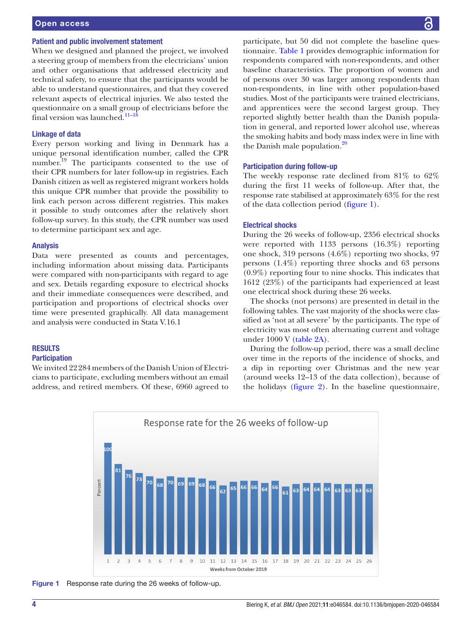# Open access

#### Patient and public involvement statement

When we designed and planned the project, we involved a steering group of members from the electricians' union and other organisations that addressed electricity and technical safety, to ensure that the participants would be able to understand questionnaires, and that they covered relevant aspects of electrical injuries. We also tested the questionnaire on a small group of electricians before the final version was launched.<sup>11-18</sup>

### Linkage of data

Every person working and living in Denmark has a unique personal identification number, called the CPR number.<sup>19</sup> The participants consented to the use of their CPR numbers for later follow-up in registries. Each Danish citizen as well as registered migrant workers holds this unique CPR number that provide the possibility to link each person across different registries. This makes it possible to study outcomes after the relatively short follow-up survey. In this study, the CPR number was used to determine participant sex and age.

### Analysis

Data were presented as counts and percentages, including information about missing data. Participants were compared with non-participants with regard to age and sex. Details regarding exposure to electrical shocks and their immediate consequences were described, and participation and proportions of electrical shocks over time were presented graphically. All data management and analysis were conducted in Stata V.16.1

# **RESULTS**

# **Participation**

We invited 22284 members of the Danish Union of Electricians to participate, excluding members without an email address, and retired members. Of these, 6960 agreed to

participate, but 50 did not complete the baseline questionnaire. [Table](#page-2-0) 1 provides demographic information for respondents compared with non-respondents, and other baseline characteristics. The proportion of women and of persons over 30 was larger among respondents than non-respondents, in line with other population-based studies. Most of the participants were trained electricians, and apprentices were the second largest group. They reported slightly better health than the Danish population in general, and reported lower alcohol use, whereas the smoking habits and body mass index were in line with the Danish male population.<sup>20</sup>

#### Participation during follow-up

The weekly response rate declined from 81% to 62% during the first 11 weeks of follow-up. After that, the response rate stabilised at approximately 63% for the rest of the data collection period ([figure](#page-3-0) 1).

### Electrical shocks

During the 26 weeks of follow-up, 2356 electrical shocks were reported with 1133 persons (16.3%) reporting one shock, 319 persons (4.6%) reporting two shocks, 97 persons (1.4%) reporting three shocks and 63 persons (0.9%) reporting four to nine shocks. This indicates that 1612 (23%) of the participants had experienced at least one electrical shock during these 26 weeks.

The shocks (not persons) are presented in detail in the following tables. The vast majority of the shocks were classified as 'not at all severe' by the participants. The type of electricity was most often alternating current and voltage under 1000 V ([table](#page-4-0) 2A).

During the follow-up period, there was a small decline over time in the reports of the incidence of shocks, and a dip in reporting over Christmas and the new year (around weeks 12–13 of the data collection), because of the holidays ([figure](#page-4-1) 2). In the baseline questionnaire,



<span id="page-3-0"></span>Figure 1 Response rate during the 26 weeks of follow-up.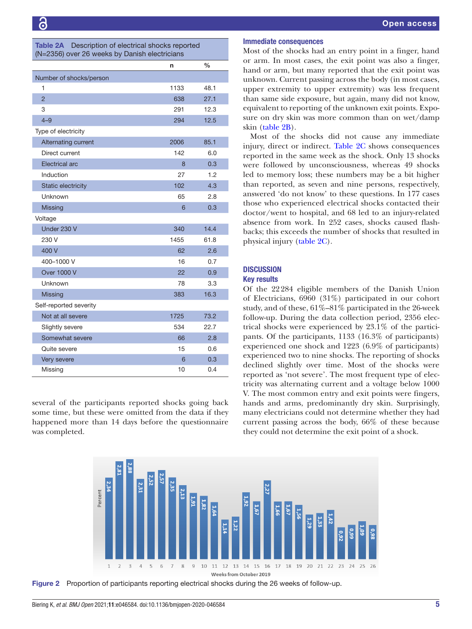<span id="page-4-0"></span>

| <b>Table 2A</b> Description of electrical shocks reported |  |
|-----------------------------------------------------------|--|
| (N=2356) over 26 weeks by Danish electricians             |  |

|                           | n    | $\%$ |
|---------------------------|------|------|
| Number of shocks/person   |      |      |
| 1                         | 1133 | 48.1 |
| $\overline{2}$            | 638  | 27.1 |
| 3                         | 291  | 12.3 |
| $4 - 9$                   | 294  | 12.5 |
| Type of electricity       |      |      |
| Alternating current       | 2006 | 85.1 |
| Direct current            | 142  | 6.0  |
| Electrical arc            | 8    | 0.3  |
| Induction                 | 27   | 1.2  |
| <b>Static electricity</b> | 102  | 4.3  |
| Unknown                   | 65   | 2.8  |
| <b>Missing</b>            | 6    | 0.3  |
| Voltage                   |      |      |
| Under 230 V               | 340  | 14.4 |
| 230 V                     | 1455 | 61.8 |
| 400 V                     | 62   | 2.6  |
| 400-1000 V                | 16   | 0.7  |
| <b>Over 1000 V</b>        | 22   | 0.9  |
| Unknown                   | 78   | 3.3  |
| <b>Missing</b>            | 383  | 16.3 |
| Self-reported severity    |      |      |
| Not at all severe         | 1725 | 73.2 |
| Slightly severe           | 534  | 22.7 |
| Somewhat severe           | 66   | 2.8  |
| Quite severe              | 15   | 0.6  |
| Very severe               | 6    | 0.3  |
| Missing                   | 10   | 0.4  |

several of the participants reported shocks going back some time, but these were omitted from the data if they happened more than 14 days before the questionnaire was completed.

### Immediate consequences

Most of the shocks had an entry point in a finger, hand or arm. In most cases, the exit point was also a finger, hand or arm, but many reported that the exit point was unknown. Current passing across the body (in most cases, upper extremity to upper extremity) was less frequent than same side exposure, but again, many did not know, equivalent to reporting of the unknown exit points. Exposure on dry skin was more common than on wet/damp skin [\(table](#page-5-0) 2B).

Most of the shocks did not cause any immediate injury, direct or indirect. [Table](#page-5-1) 2C shows consequences reported in the same week as the shock. Only 13 shocks were followed by unconsciousness, whereas 49 shocks led to memory loss; these numbers may be a bit higher than reported, as seven and nine persons, respectively, answered 'do not know' to these questions. In 177 cases those who experienced electrical shocks contacted their doctor/went to hospital, and 68 led to an injury-related absence from work. In 252 cases, shocks caused flashbacks; this exceeds the number of shocks that resulted in physical injury ([table](#page-5-1) 2C).

# **DISCUSSION**

# Key results

Of the 22284 eligible members of the Danish Union of Electricians, 6960 (31%) participated in our cohort study, and of these, 61%–81% participated in the 26-week follow-up. During the data collection period, 2356 electrical shocks were experienced by 23.1% of the participants. Of the participants, 1133 (16.3% of participants) experienced one shock and 1223 (6.9% of participants) experienced two to nine shocks. The reporting of shocks declined slightly over time. Most of the shocks were reported as 'not severe'. The most frequent type of electricity was alternating current and a voltage below 1000 V. The most common entry and exit points were fingers, hands and arms, predominantly dry skin. Surprisingly, many electricians could not determine whether they had current passing across the body, 66% of these because they could not determine the exit point of a shock.



<span id="page-4-1"></span>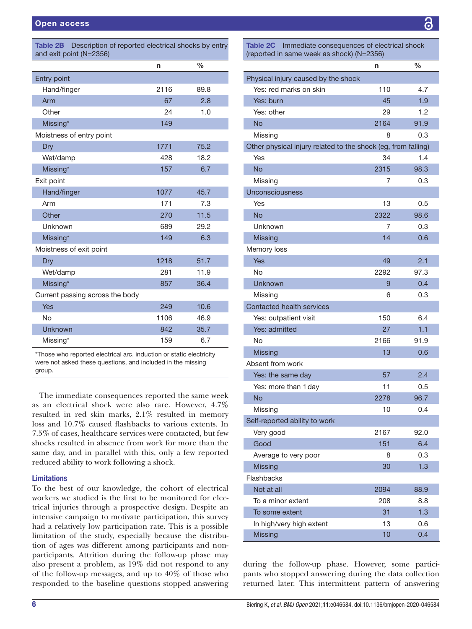<span id="page-5-0"></span>

| Description of reported electrical shocks by entry<br><b>Table 2B</b><br>and exit point (N=2356) |      |               |  |
|--------------------------------------------------------------------------------------------------|------|---------------|--|
|                                                                                                  | n    | $\frac{0}{0}$ |  |
| Entry point                                                                                      |      |               |  |
| Hand/finger                                                                                      | 2116 | 89.8          |  |
| Arm                                                                                              | 67   | 2.8           |  |
| Other                                                                                            | 24   | 1.0           |  |
| Missing*                                                                                         | 149  |               |  |
| Moistness of entry point                                                                         |      |               |  |
| Dry                                                                                              | 1771 | 75.2          |  |
| Wet/damp                                                                                         | 428  | 18.2          |  |
| Missing*                                                                                         | 157  | 6.7           |  |
| Exit point                                                                                       |      |               |  |
| Hand/finger                                                                                      | 1077 | 45.7          |  |
| Arm                                                                                              | 171  | 7.3           |  |
| Other                                                                                            | 270  | 11.5          |  |
| Unknown                                                                                          | 689  | 29.2          |  |
| Missing*                                                                                         | 149  | 6.3           |  |
| Moistness of exit point                                                                          |      |               |  |
| Dry                                                                                              | 1218 | 51.7          |  |
| Wet/damp                                                                                         | 281  | 11.9          |  |
| Missing*                                                                                         | 857  | 36.4          |  |
| Current passing across the body                                                                  |      |               |  |
| <b>Yes</b>                                                                                       | 249  | 10.6          |  |
| No                                                                                               | 1106 | 46.9          |  |
| Unknown                                                                                          | 842  | 35.7          |  |
| Missing*                                                                                         | 159  | 6.7           |  |

\*Those who reported electrical arc, induction or static electricity were not asked these questions, and included in the missing group.

The immediate consequences reported the same week as an electrical shock were also rare. However, 4.7% resulted in red skin marks, 2.1% resulted in memory loss and 10.7% caused flashbacks to various extents. In 7.5% of cases, healthcare services were contacted, but few shocks resulted in absence from work for more than the same day, and in parallel with this, only a few reported reduced ability to work following a shock.

### Limitations

To the best of our knowledge, the cohort of electrical workers we studied is the first to be monitored for electrical injuries through a prospective design. Despite an intensive campaign to motivate participation, this survey had a relatively low participation rate. This is a possible limitation of the study, especially because the distribution of ages was different among participants and nonparticipants. Attrition during the follow-up phase may also present a problem, as 19% did not respond to any of the follow-up messages, and up to 40% of those who responded to the baseline questions stopped answering

<span id="page-5-1"></span>Table 2C Immediate consequences of electrical shock (reported in same week as shock) (N=2356)

|                                                               | n    | $\frac{0}{0}$ |
|---------------------------------------------------------------|------|---------------|
| Physical injury caused by the shock                           |      |               |
| Yes: red marks on skin                                        | 110  | 4.7           |
| Yes: burn                                                     | 45   | 1.9           |
| Yes: other                                                    | 29   | 1.2           |
| <b>No</b>                                                     | 2164 | 91.9          |
| Missing                                                       | 8    | 0.3           |
| Other physical injury related to the shock (eg, from falling) |      |               |
| Yes                                                           | 34   | 1.4           |
| <b>No</b>                                                     | 2315 | 98.3          |
| Missing                                                       | 7    | 0.3           |
| Unconsciousness                                               |      |               |
| Yes                                                           | 13   | 0.5           |
| <b>No</b>                                                     | 2322 | 98.6          |
| Unknown                                                       | 7    | 0.3           |
| <b>Missing</b>                                                | 14   | 0.6           |
| Memory loss                                                   |      |               |
| <b>Yes</b>                                                    | 49   | 2.1           |
| No                                                            | 2292 | 97.3          |
| <b>Unknown</b>                                                | 9    | 0.4           |
| Missing                                                       | 6    | 0.3           |
| <b>Contacted health services</b>                              |      |               |
| Yes: outpatient visit                                         | 150  | 6.4           |
| Yes: admitted                                                 | 27   | 1.1           |
| No                                                            | 2166 | 91.9          |
| Missing                                                       | 13   | 0.6           |
| Absent from work                                              |      |               |
| Yes: the same day                                             | 57   | 2.4           |
| Yes: more than 1 day                                          | 11   | 0.5           |
| <b>No</b>                                                     | 2278 | 96.7          |
| Missing                                                       | 10   | 0.4           |
| Self-reported ability to work                                 |      |               |
| Very good                                                     | 2167 | 92.0          |
| Good                                                          | 151  | 6.4           |
| Average to very poor                                          | 8    | 0.3           |
| Missing                                                       | 30   | 1.3           |
| Flashbacks                                                    |      |               |
| Not at all                                                    | 2094 | 88.9          |
| To a minor extent                                             | 208  | 8.8           |
| To some extent                                                | 31   | 1.3           |
| In high/very high extent                                      | 13   | 0.6           |
| Missing                                                       | 10   | 0.4           |

during the follow-up phase. However, some participants who stopped answering during the data collection returned later. This intermittent pattern of answering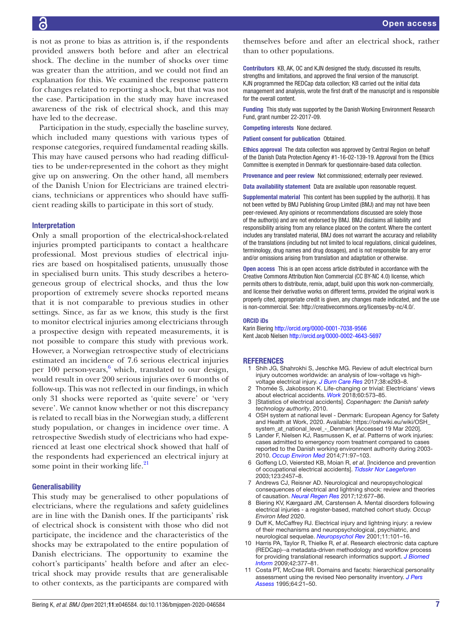is not as prone to bias as attrition is, if the respondents provided answers both before and after an electrical shock. The decline in the number of shocks over time was greater than the attrition, and we could not find an explanation for this. We examined the response pattern for changes related to reporting a shock, but that was not the case. Participation in the study may have increased awareness of the risk of electrical shock, and this may have led to the decrease.

Participation in the study, especially the baseline survey, which included many questions with various types of response categories, required fundamental reading skills. This may have caused persons who had reading difficulties to be under-represented in the cohort as they might give up on answering. On the other hand, all members of the Danish Union for Electricians are trained electricians, technicians or apprentices who should have sufficient reading skills to participate in this sort of study.

### Interpretation

Only a small proportion of the electrical-shock-related injuries prompted participants to contact a healthcare professional. Most previous studies of electrical injuries are based on hospitalised patients, unusually those in specialised burn units. This study describes a heterogeneous group of electrical shocks, and thus the low proportion of extremely severe shocks reported means that it is not comparable to previous studies in other settings. Since, as far as we know, this study is the first to monitor electrical injuries among electricians through a prospective design with repeated measurements, it is not possible to compare this study with previous work. However, a Norwegian retrospective study of electricians estimated an incidence of 7.6 serious electrical injuries per 100 person-years, [6](#page-6-5) which, translated to our design, would result in over 200 serious injuries over 6 months of follow-up. This was not reflected in our findings, in which only 31 shocks were reported as 'quite severe' or 'very severe'. We cannot know whether or not this discrepancy is related to recall bias in the Norwegian study, a different study population, or changes in incidence over time. A retrospective Swedish study of electricians who had experienced at least one electrical shock showed that half of the respondents had experienced an electrical injury at some point in their working life. $21$ 

### **Generalisability**

This study may be generalised to other populations of electricians, where the regulations and safety guidelines are in line with the Danish ones. If the participants' risk of electrical shock is consistent with those who did not participate, the incidence and the characteristics of the shocks may be extrapolated to the entire population of Danish electricians. The opportunity to examine the cohort's participants' health before and after an electrical shock may provide results that are generalisable to other contexts, as the participants are compared with

themselves before and after an electrical shock, rather than to other populations.

Contributors KB, AK, OC and KJN designed the study, discussed its results, strengths and limitations, and approved the final version of the manuscript. KJN programmed the REDCap data collection; KB carried out the initial data management and analysis, wrote the first draft of the manuscript and is responsible for the overall content.

Funding This study was supported by the Danish Working Environment Research Fund, grant number 22-2017-09.

Competing interests None declared.

Patient consent for publication Obtained.

Ethics approval The data collection was approved by Central Region on behalf of the Danish Data Protection Agency #1-16-02-139-19. Approval from the Ethics Committee is exempted in Denmark for questionnaire-based data collection.

Provenance and peer review Not commissioned; externally peer reviewed.

Data availability statement Data are available upon reasonable request.

Supplemental material This content has been supplied by the author(s). It has not been vetted by BMJ Publishing Group Limited (BMJ) and may not have been peer-reviewed. Any opinions or recommendations discussed are solely those of the author(s) and are not endorsed by BMJ. BMJ disclaims all liability and responsibility arising from any reliance placed on the content. Where the content includes any translated material, BMJ does not warrant the accuracy and reliability of the translations (including but not limited to local regulations, clinical guidelines, terminology, drug names and drug dosages), and is not responsible for any error and/or omissions arising from translation and adaptation or otherwise.

Open access This is an open access article distributed in accordance with the Creative Commons Attribution Non Commercial (CC BY-NC 4.0) license, which permits others to distribute, remix, adapt, build upon this work non-commercially, and license their derivative works on different terms, provided the original work is properly cited, appropriate credit is given, any changes made indicated, and the use is non-commercial. See: [http://creativecommons.org/licenses/by-nc/4.0/.](http://creativecommons.org/licenses/by-nc/4.0/)

#### ORCID iDs

Karin Biering <http://orcid.org/0000-0001-7038-9566> Kent Jacob Nielsen<http://orcid.org/0000-0002-4643-5697>

#### <span id="page-6-0"></span>**REFERENCES**

- 1 Shih JG, Shahrokhi S, Jeschke MG. Review of adult electrical burn injury outcomes worldwide: an analysis of low-voltage vs highvoltage electrical injury. *[J Burn Care Res](http://dx.doi.org/10.1097/BCR.0000000000000373)* 2017;38:e293–8.
- <span id="page-6-1"></span>Thomée S, Jakobsson K. Life-changing or trivial: Electricians' views about electrical accidents. *[Work](http://dx.doi.org/10.3233/WOR-182765)* 2018;60:573–85.
- <span id="page-6-2"></span>3 [Statistics of electrical accidents]. *Copenhagen: the Danish safety technology authority*, 2010.
- <span id="page-6-3"></span>4 OSH system at national level - Denmark: European Agency for Safety and Health at Work, 2020. Available: [https://oshwiki.eu/wiki/OSH\\_](https://oshwiki.eu/wiki/OSH_system_at_national_level_-_Denmark) [system\\_at\\_national\\_level\\_-\\_Denmark](https://oshwiki.eu/wiki/OSH_system_at_national_level_-_Denmark) [Accessed 19 Mar 2020].
- <span id="page-6-4"></span>5 Lander F, Nielsen KJ, Rasmussen K, *et al*. Patterns of work injuries: cases admitted to emergency room treatment compared to cases reported to the Danish working environment authority during 2003- 2010. *[Occup Environ Med](http://dx.doi.org/10.1136/oemed-2013-101559)* 2014;71:97–103.
- <span id="page-6-5"></span>6 Goffeng LO, Veiersted KB, Moian R, *et al*. [Incidence and prevention of occupational electrical accidents]. *[Tidsskr Nor Laegeforen](http://www.ncbi.nlm.nih.gov/pubmed/14562789)* 2003;123:2457–8.
- <span id="page-6-6"></span>7 Andrews CJ, Reisner AD. Neurological and neuropsychological consequences of electrical and lightning shock: review and theories of causation. *[Neural Regen Res](http://dx.doi.org/10.4103/1673-5374.206636)* 2017;12:677–86.
- 8 Biering KV, Kærgaard JM, Carstensen A. Mental disorders following electrical injuries - a register-based, matched cohort study. *Occup Environ Med* 2020.
- 9 Duff K, McCaffrey RJ. Electrical injury and lightning injury: a review of their mechanisms and neuropsychological, psychiatric, and neurological sequelae. *[Neuropsychol Rev](http://dx.doi.org/10.1023/A:1016623318049)* 2001;11:101–16.
- <span id="page-6-7"></span>10 Harris PA, Taylor R, Thielke R, *et al*. Research electronic data capture (REDCap)--a metadata-driven methodology and workflow process for providing translational research informatics support. *[J Biomed](http://dx.doi.org/10.1016/j.jbi.2008.08.010)  [Inform](http://dx.doi.org/10.1016/j.jbi.2008.08.010)* 2009;42:377–81.
- <span id="page-6-8"></span>11 Costa PT, McCrae RR. Domains and facets: hierarchical personality assessment using the revised Neo personality inventory. *[J Pers](http://dx.doi.org/10.1207/s15327752jpa6401_2)  [Assess](http://dx.doi.org/10.1207/s15327752jpa6401_2)* 1995;64:21–50.